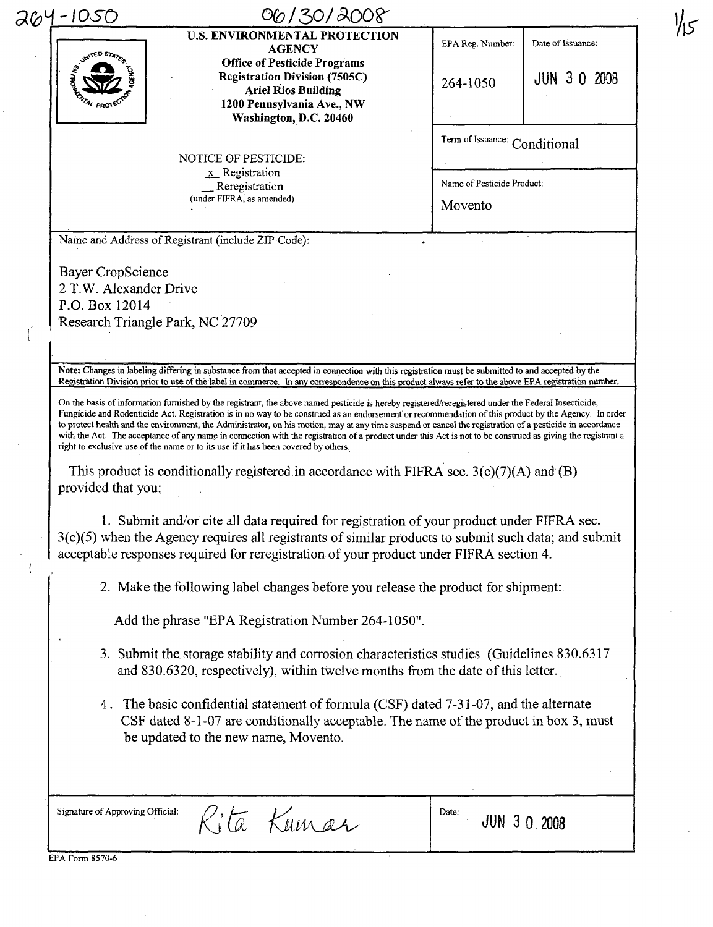| 264-1050                         | <b>U.S. ENVIRONMENTAL PROTECTION</b>                                                                                                                                                                                                                                                                                                                                                                                                                                                                                                                                                                                                                                                                                                                                                                                                                                                 |                               |                    |
|----------------------------------|--------------------------------------------------------------------------------------------------------------------------------------------------------------------------------------------------------------------------------------------------------------------------------------------------------------------------------------------------------------------------------------------------------------------------------------------------------------------------------------------------------------------------------------------------------------------------------------------------------------------------------------------------------------------------------------------------------------------------------------------------------------------------------------------------------------------------------------------------------------------------------------|-------------------------------|--------------------|
| <b>INITED STATES</b>             | <b>AGENCY</b>                                                                                                                                                                                                                                                                                                                                                                                                                                                                                                                                                                                                                                                                                                                                                                                                                                                                        | EPA Reg. Number:              | Date of Issuance:  |
|                                  | <b>Office of Pesticide Programs</b><br><b>Registration Division (7505C)</b>                                                                                                                                                                                                                                                                                                                                                                                                                                                                                                                                                                                                                                                                                                                                                                                                          |                               | <b>JUN 30 2008</b> |
|                                  | <b>Ariel Rios Building</b>                                                                                                                                                                                                                                                                                                                                                                                                                                                                                                                                                                                                                                                                                                                                                                                                                                                           | 264-1050                      |                    |
|                                  | 1200 Pennsylvania Ave., NW                                                                                                                                                                                                                                                                                                                                                                                                                                                                                                                                                                                                                                                                                                                                                                                                                                                           |                               |                    |
|                                  | Washington, D.C. 20460                                                                                                                                                                                                                                                                                                                                                                                                                                                                                                                                                                                                                                                                                                                                                                                                                                                               |                               |                    |
|                                  |                                                                                                                                                                                                                                                                                                                                                                                                                                                                                                                                                                                                                                                                                                                                                                                                                                                                                      | Term of Issuance: Conditional |                    |
|                                  | <b>NOTICE OF PESTICIDE:</b><br>$\underline{x}$ Registration                                                                                                                                                                                                                                                                                                                                                                                                                                                                                                                                                                                                                                                                                                                                                                                                                          |                               |                    |
|                                  | Reregistration                                                                                                                                                                                                                                                                                                                                                                                                                                                                                                                                                                                                                                                                                                                                                                                                                                                                       | Name of Pesticide Product:    |                    |
|                                  | (under FIFRA, as amended)                                                                                                                                                                                                                                                                                                                                                                                                                                                                                                                                                                                                                                                                                                                                                                                                                                                            | Movento                       |                    |
|                                  |                                                                                                                                                                                                                                                                                                                                                                                                                                                                                                                                                                                                                                                                                                                                                                                                                                                                                      |                               |                    |
|                                  | Name and Address of Registrant (include ZIP Code):                                                                                                                                                                                                                                                                                                                                                                                                                                                                                                                                                                                                                                                                                                                                                                                                                                   |                               |                    |
| Bayer CropScience                |                                                                                                                                                                                                                                                                                                                                                                                                                                                                                                                                                                                                                                                                                                                                                                                                                                                                                      |                               |                    |
| 2 T.W. Alexander Drive           |                                                                                                                                                                                                                                                                                                                                                                                                                                                                                                                                                                                                                                                                                                                                                                                                                                                                                      |                               |                    |
| P.O. Box 12014                   |                                                                                                                                                                                                                                                                                                                                                                                                                                                                                                                                                                                                                                                                                                                                                                                                                                                                                      |                               |                    |
|                                  | Research Triangle Park, NC 27709                                                                                                                                                                                                                                                                                                                                                                                                                                                                                                                                                                                                                                                                                                                                                                                                                                                     |                               |                    |
|                                  |                                                                                                                                                                                                                                                                                                                                                                                                                                                                                                                                                                                                                                                                                                                                                                                                                                                                                      |                               |                    |
|                                  |                                                                                                                                                                                                                                                                                                                                                                                                                                                                                                                                                                                                                                                                                                                                                                                                                                                                                      |                               |                    |
|                                  | Note: Changes in labeling differing in substance from that accepted in connection with this registration must be submitted to and accepted by the                                                                                                                                                                                                                                                                                                                                                                                                                                                                                                                                                                                                                                                                                                                                    |                               |                    |
|                                  | Registration Division prior to use of the label in commerce. In any correspondence on this product always refer to the above EPA registration number.<br>On the basis of information furnished by the registrant, the above named pesticide is hereby registered/reregistered under the Federal Insecticide,<br>Fungicide and Rodenticide Act. Registration is in no way to be construed as an endorsement or recommendation of this product by the Agency. In order<br>to protect health and the environment, the Administrator, on his motion, may at any time suspend or cancel the registration of a pesticide in accordance<br>with the Act. The acceptance of any name in connection with the registration of a product under this Act is not to be construed as giving the registrant a<br>right to exclusive use of the name or to its use if it has been covered by others. |                               |                    |
| provided that you:               | This product is conditionally registered in accordance with FIFRA sec. $3(c)(7)(A)$ and (B)                                                                                                                                                                                                                                                                                                                                                                                                                                                                                                                                                                                                                                                                                                                                                                                          |                               |                    |
|                                  |                                                                                                                                                                                                                                                                                                                                                                                                                                                                                                                                                                                                                                                                                                                                                                                                                                                                                      |                               |                    |
|                                  | 1. Submit and/or cite all data required for registration of your product under FIFRA sec.                                                                                                                                                                                                                                                                                                                                                                                                                                                                                                                                                                                                                                                                                                                                                                                            |                               |                    |
|                                  | 3(c)(5) when the Agency requires all registrants of similar products to submit such data; and submit<br>acceptable responses required for reregistration of your product under FIFRA section 4.                                                                                                                                                                                                                                                                                                                                                                                                                                                                                                                                                                                                                                                                                      |                               |                    |
|                                  |                                                                                                                                                                                                                                                                                                                                                                                                                                                                                                                                                                                                                                                                                                                                                                                                                                                                                      |                               |                    |
|                                  | 2. Make the following label changes before you release the product for shipment:                                                                                                                                                                                                                                                                                                                                                                                                                                                                                                                                                                                                                                                                                                                                                                                                     |                               |                    |
|                                  | Add the phrase "EPA Registration Number 264-1050".                                                                                                                                                                                                                                                                                                                                                                                                                                                                                                                                                                                                                                                                                                                                                                                                                                   |                               |                    |
|                                  |                                                                                                                                                                                                                                                                                                                                                                                                                                                                                                                                                                                                                                                                                                                                                                                                                                                                                      |                               |                    |
|                                  | 3. Submit the storage stability and corrosion characteristics studies (Guidelines 830.6317<br>and 830.6320, respectively), within twelve months from the date of this letter.                                                                                                                                                                                                                                                                                                                                                                                                                                                                                                                                                                                                                                                                                                        |                               |                    |
|                                  |                                                                                                                                                                                                                                                                                                                                                                                                                                                                                                                                                                                                                                                                                                                                                                                                                                                                                      |                               |                    |
|                                  | 4. The basic confidential statement of formula (CSF) dated 7-31-07, and the alternate                                                                                                                                                                                                                                                                                                                                                                                                                                                                                                                                                                                                                                                                                                                                                                                                |                               |                    |
|                                  | CSF dated 8-1-07 are conditionally acceptable. The name of the product in box 3, must<br>be updated to the new name, Movento.                                                                                                                                                                                                                                                                                                                                                                                                                                                                                                                                                                                                                                                                                                                                                        |                               |                    |
|                                  |                                                                                                                                                                                                                                                                                                                                                                                                                                                                                                                                                                                                                                                                                                                                                                                                                                                                                      |                               |                    |
| Signature of Approving Official: | ità Kumar                                                                                                                                                                                                                                                                                                                                                                                                                                                                                                                                                                                                                                                                                                                                                                                                                                                                            | Date:                         | JUN 3 0 2008       |

 $1/5$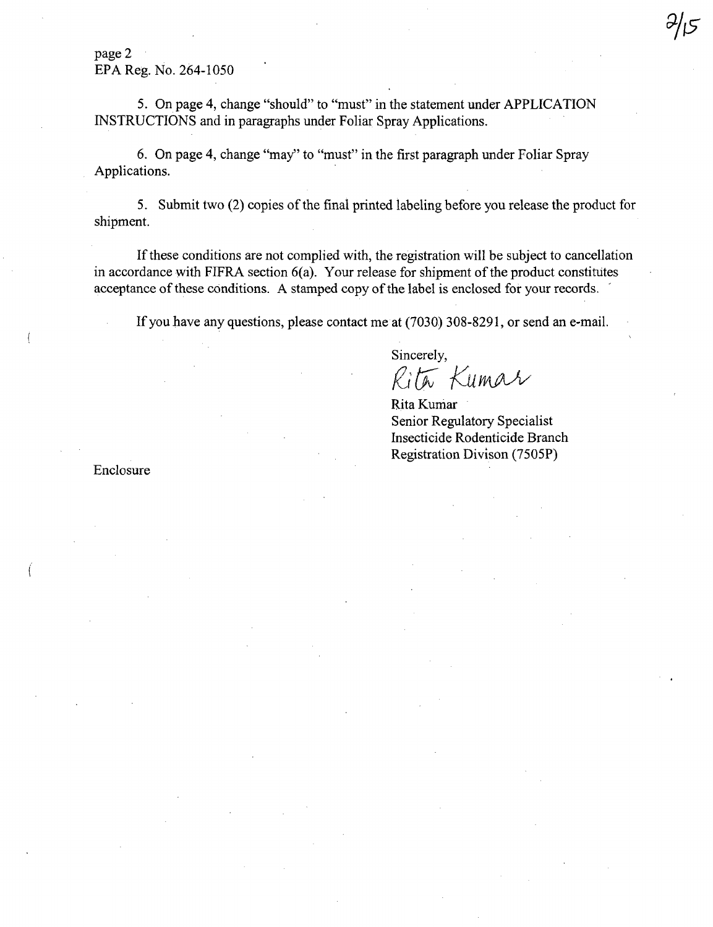page 2 EPA Reg. No. 264-1050

5. On page 4, change "should" to "must" in the statement under APPLICATION INSTRUCTIONS and in paragraphs under Foliar Spray Applications.

6. On page 4, change "may" to "must" in the first paragraph under Foliar Spray Applications.

5. Submit two (2) copies of the final printed labeling before you release the product for shipment.

If these conditions are not complied with, the registration will be subject to cancellation in accordance with FIFRA section  $6(a)$ . Your release for shipment of the product constitutes acceptance of these conditions. A stamped copy of the label is enclosed for your records.

If you have any questions, please contact me at (7030) 308-8291, or send an e-mail.

Sincerely,

 $R$ ita Kumar

Rita Kumar Senior Regulatory Specialist Insecticide Rodenticide Branch Registration Divison (7S0SP)

Enclosure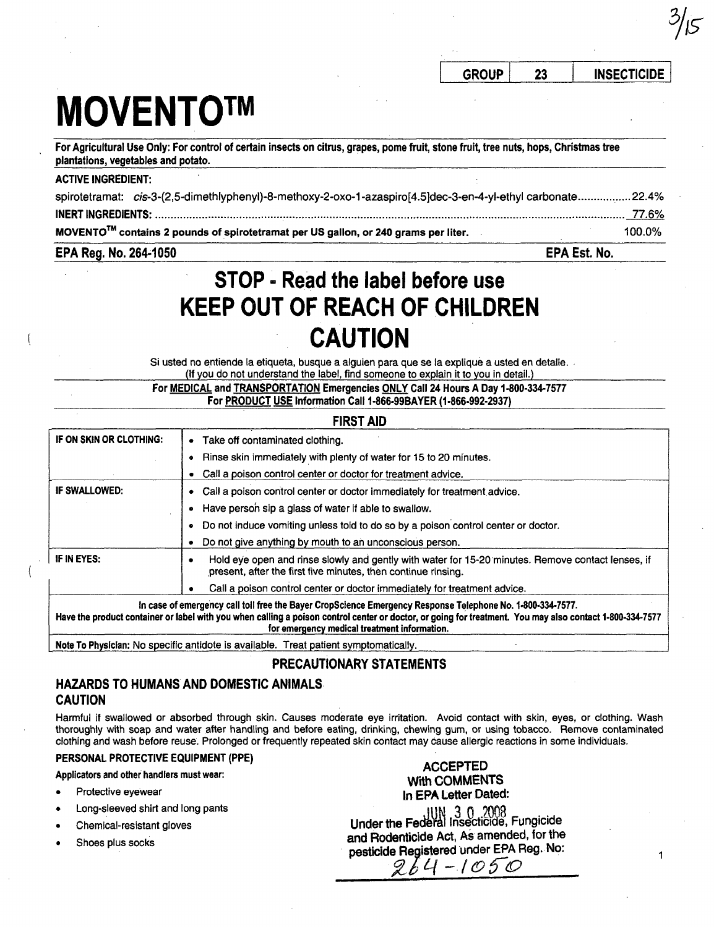1

# **MOVENTOTM**

For Agricultural Use Only: For control of certain insects on citrus, grapes, pome fruit, stone fruit, tree nuts, hops, Christmas tree plantations, vegetables and potato.

#### ACTIVE INGREDIENT:

| spirotetramat: cis-3-(2,5-dimethlyphenyl)-8-methoxy-2-oxo-1-azaspiro[4.5]dec-3-en-4-yl-ethyl carbonate22.4% |               |
|-------------------------------------------------------------------------------------------------------------|---------------|
|                                                                                                             | <u>77.6% </u> |
| MOVENTO <sup>™</sup> contains 2 pounds of spirotetramat per US gallon, or 240 grams per liter.              | 100.0%        |

#### EPA Reg. No. 264·1050 EPA Est. No.

## **STOp .. Read the label before use KEEP OUT OF REACH** OF CHILDREN **CAUTION**

Si usted no entiende la etiqueta, busque a alguien para que se la explique a usted en detalle. (If you do not understand the label, find someone to explain it to you in detail.)

For MEDICAL and TRANSPORTATION Emergencies ONLY Call 24 Hours A Day 1·800-334-7577 For PRODUCT USE Information Call 1-866-99BAYER (1-866-992-2937)

| <b>FIRST AID</b>        |                                                                                                                                                                                                                                                                                                                        |
|-------------------------|------------------------------------------------------------------------------------------------------------------------------------------------------------------------------------------------------------------------------------------------------------------------------------------------------------------------|
| IF ON SKIN OR CLOTHING: | Take off contaminated clothing.<br>$\bullet$                                                                                                                                                                                                                                                                           |
|                         | Rinse skin immediately with plenty of water for 15 to 20 minutes.                                                                                                                                                                                                                                                      |
|                         | Call a poison control center or doctor for treatment advice.                                                                                                                                                                                                                                                           |
| <b>IF SWALLOWED:</b>    | Call a poison control center or doctor immediately for treatment advice.                                                                                                                                                                                                                                               |
|                         | Have person sip a glass of water if able to swallow.                                                                                                                                                                                                                                                                   |
|                         | Do not induce vomiting unless told to do so by a poison control center or doctor.<br>۰                                                                                                                                                                                                                                 |
|                         | Do not give anything by mouth to an unconscious person.                                                                                                                                                                                                                                                                |
| IF IN EYES:             | Hold eye open and rinse slowly and gently with water for 15-20 minutes. Remove contact lenses, if<br>present, after the first five minutes, then continue rinsing.                                                                                                                                                     |
|                         | Call a poison control center or doctor immediately for treatment advice.                                                                                                                                                                                                                                               |
|                         | In case of emergency call toll free the Bayer CropScience Emergency Response Telephone No. 1-800-334-7577.<br>Have the product container or label with you when calling a poison control center or doctor, or going for treatment. You may also contact 1-800-334-7577<br>for emergency medical treatment information. |

Note To Physician: No specific antidote is available. Treat patient symptomatically.

#### PRECAUTIONARY STATEMENTS

### HAZARDS TO HUMANS AND DOMESTIC ANIMALS CAUTION

Harmful if swallowed or absorbed through skin. Causes moderate eye irritation. Avoid contact with skin, eyes, or clothing. Wash thoroughly with soap and water after handling and before eating, drinking, chewing gum, or using tobacco. Remove contaminated clothing and wash before reuse. Prolonged or frequently repeated skin contact may cause allergic reactions in some individuals.

#### PERSONAL PROTECTIVE EQUIPMENT (PPE)

Applicators and other handlers must wear:

- Protective eyewear
- Long-sleeved shirt and long pants
- Chemical-resistant gloves
- Shoes plus socks

ACCEPTED With COMMENTS In EPA Letter Dated: UN 3 0 2008<br>Under the Federal Insecticide, Fungicide and Rodenticide Act, As amended, for the pesticide Registered under EPA Reg. No:

 $964 - 1050$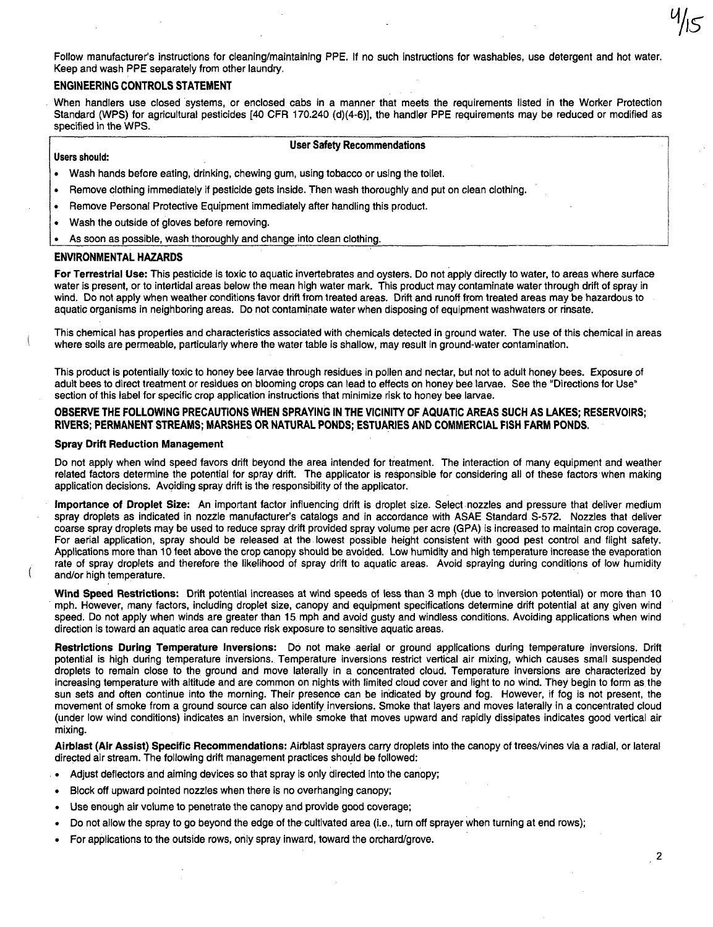Follow manufacturer's instructions for cleaning/maintaining PPE. If no such instructions for washables, use detergent and hot water. Keep and wash PPE separately from other laundry.

#### ENGINEERING CONTROLS STATEMENT

When handlers use closed systems, or enclosed cabs in a manner that meets the requirements listed in the Worker Protection Standard (WPS) for agricultural pesticides [40 CFR 170.240 (d)(4-6)], the handler PPE requirements may be reduced or modified as specified in the WPS.

#### User Safety Recommendations

#### Users should:

- Wash hands before eating, drinking, chewing gum, using tobacco or using the toilet.
- Remove clothing immediately if pesticide gets inside. Then wash thoroughly and put on clean clothing.
- Remove Personal Protective Equipment immediately after handling this product.
- Wash the outside of gloves before removing.
- As soon as possible, wash thoroughly and change into clean clothing.

#### ENVIRONMENTAL HAZARDS

For Terrestrial Use: This pesticide is toxic to aquatic invertebrates and oysters. Do not apply directly to water, to areas where surface water is present, or to intertidal areas below the mean high water mark. This product may contaminate water through drift of spray in wind. Do not apply when weather conditions favor drift from treated areas. Drift and runoff from treated areas may be hazardous to aquatic organisms in neighboring areas. Do not contaminate water when disposing of equipment washwaters or rinsate.

This chemical has properties and characteristics associated with chemicals detected in ground water. The use of this chemical in areas where soils are permeable, particularly where the water table is shallow, may result in ground-water contamination.

This product is potentially toxic to honey bee larvae through residues in pollen and nectar, but not to adult honey bees. Exposure of adult bees to direct treatment or residues on blooming crops can lead to effects on honey bee larvae. See the "Directions for Use" section of this label for specific crop application instructions that minimize risk to honey bee larvae.

#### OBSERVE THE FOLLOWING PRECAUTIONS WHEN SPRAYING IN THE VICINITY OF AQUATIC AREAS SUCH AS LAKES; RESERVOIRS; RIVERS; PERMANENT STREAMS; MARSHES OR NATURAL PONDS; ESTUARIES AND COMMERCIAL FISH FARM PONDS.

#### Spray Drift Reduction Management

Do not apply when wind speed favors drift beyond the area intended for treatment. The interaction of many equipment and weather related factors determine the potential for spray drift. The applicator is responsible for considering all of these factors when making application decisions. Avoiding spray drift is the responsibility of the applicator.

Importance of Droplet Size: An important factor influencing drift is droplet size. Select nozzles and pressure that deliver medium spray droplets as indicated in nozzle manufacturer's catalogs and in accordance with ASAE Standard S-572. Nozzles that deliver coarse spray droplets may be used to reduce spray drift provided spray volume per acre (GPA) is increased to maintain crop coverage. For aerial application, spray should be released at the lowest possible height consistent with good pest control and flight safety. Applications more than 10 feet above the crop canopy should be avoided. Low humidity and high temperature increase the evaporation rate of spray droplets and therefore the likelihood of spray drift to aquatic areas. Avoid spraying during conditions of low humidity and/or high temperature.

Wind Speed Restrictions: Drift potential increases at wind speeds of less than 3 mph (due to inversion potential) or more than 10 mph. However, many factors, including droplet size, canopy and equipment specifications determine drift potential at any given wind speed. Do not apply when winds are greater than 15. mph and avoid gusty and windless conditions. Avoiding applications when wind direction is toward an aquatic area can reduce risk exposure to sensitive aquatic areas.

Restrictions During Temperature Inversions: Do not make aerial or ground applications during temperature inversions. Drift potential is high during temperature inversions. Temperature inversions restrict vertical air mixing, which causes small suspended droplets to remain close to the ground and move laterally in a concentrated cloud. Temperature inversions are characterized by increasing temperature with altitude and are common on nights with limited cloud cover and light to no wind. They begin to form as the sun sets and often continue into the morning. Their presence can be indicated by ground fog. However, if fog is not present, the movement of smoke from a ground source can also identify inversions. Smoke that layers and moves laterally in a concentrated cloud (under low wind conditions) indicates an inversion, while smoke that moves upward and rapidly dissipates indicates good vertical air mixing.

Airblast (Air Assist) Specific Recommendations: Airblast sprayers carry droplets into the canopy of trees/vines via a radial, or lateral directed air stream. The following drift management practices should be followed:

- Adjust deflectors and aiming devices so that spray is only directed into the canopy;
- Block off upward pointed nozzles when there is no overhanging canopy;
- Use enough air volume to penetrate the canopy and provide good coverage;
- Do not allow the spray to go beyond the edge of the· cultivated area (Le., turn off sprayer when turning at end rows);
- For applications to the outside rows, orily spray inward, toward the orchard/grove.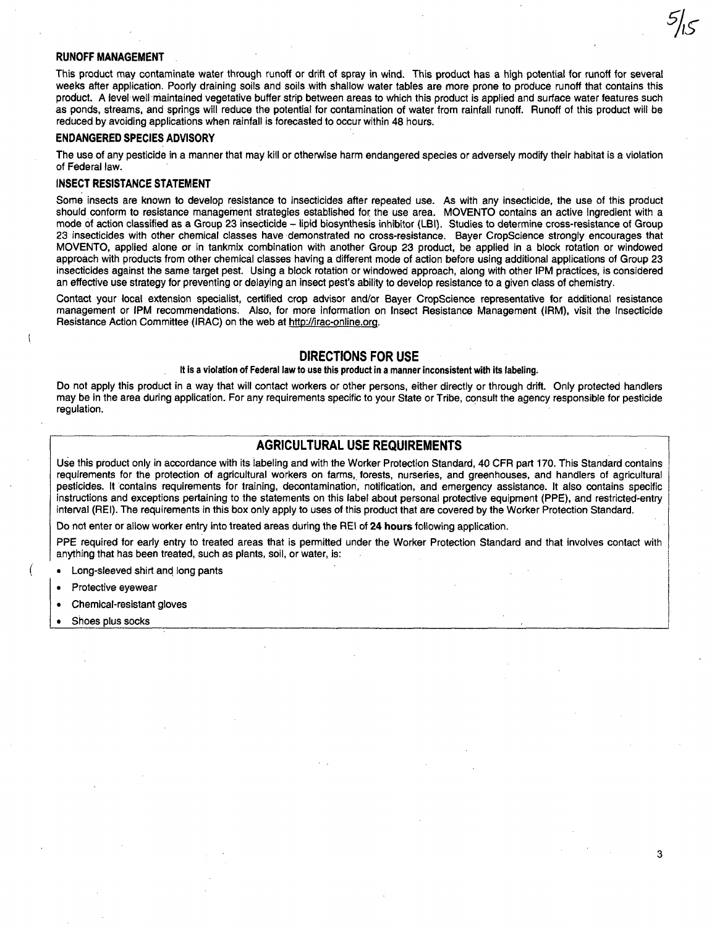#### RUNOFF MANAGEMENT

This product may contaminate water through runoff or drift of spray in wind. This product has a high potential for runoff for several weeks after application. Poorly draining soils and soils with shallow water tables are more prone to produce runoff that contains this product. A level well maintained vegetative buffer strip between areas to which this product is applied and surface water features such as ponds, streams, and springs will reduce the potential for contamination of water from rainfall runoff. Runoff of this product will be reduced by avoiding applications when rainfall is forecasted to occur within 48 hours.

#### ENDANGERED SPECIES ADVISORY

The use of any pesticide in a manner that may kill or otherwise harm endangered species or adversely modify their habitat is a violation of Federal law.

#### INSECT RESISTANCE STATEMENT

Some insects are known to develop resistance to insecticides after repeated use. As with any insecticide, the use of this product should conform to resistance management strategies established for the use area. MOVENTO contains an active ingredient with a mode of action classified as a Group 23 insecticide - lipid biosynthesis inhibitor (LBI). Studies to determine cross-resistance of Group 23 insecticides with other chemical classes have demonstrated no cross-resistance. Bayer CropScience strongly encourages that MOVENTO, applied alone or in tankmix combination with another Group 23 product, be applied in a block rotation or windowed approach with products from other chemical classes having a different mode of action before using additional applications of Group 23 insecticides against the same target pest. Using a block rotation or windowed approach, along with other IPM practices, is considered an effective use strategy for preventing or delaying an insect pest's ability to develop resistance to a given class of chemistry.

Contact your local extension specialist, certified crop advisor and/or Bayer CropScience representative for additional resistance management or IPM recommendations. Also, for more information on Insect Resistance Management (IRM), visit the Insecticide Resistance Action Committee (IRAC) on the web at http://irac-online.org.

#### DIRECTIONS FOR USE

#### It is a violation of Federal law to use this product in a manner inconsistent with its labeling.

Do not apply this product in a way that will contact workers or other persons, either directly or through drift. Only protected handlers may be in the area during application. For any requirements specific to your State or Tribe, consult the agency responsible for pesticide regulation. **Example 20** is a set of the contract of the contract of the contract of the contract of the contract of the contract of the contract of the contract of the contract of the contract of the contract of the contr

#### AGRICULTURAL USE REQUIREMENTS

Use this product only in accordance with its labeling and with the Worker Protection Standard, 40 CFR part 170. This Standard contains requirements for the protection of agricultural workers on farms, forests, nurseries, and greenhouses, and handlers of agricultural pesticides. It contains requirements for training, decontamination, notification, and emergency assistance. It also contains specific instructions and exceptions pertaining to the statements on this label about personal protective equipment (PPE), and restricted-entry interval (REI). The requirements in this box only apply to uses of this product that are covered by the Worker Protection Standard.

Do not enter or allow worker entry into treated areas during the REI of 24 hours following application.

PPE required for early entry to treated areas that is permitted under the Worker Protection Standard and that involves contact with anything that has been treated, such as plants, soil, or water, is:

- Long-sleeved shirt and long pants
- 
- Protective eyewear  $\blacksquare$ <br>• Chemical-resistant gloves
- Shoes plus socks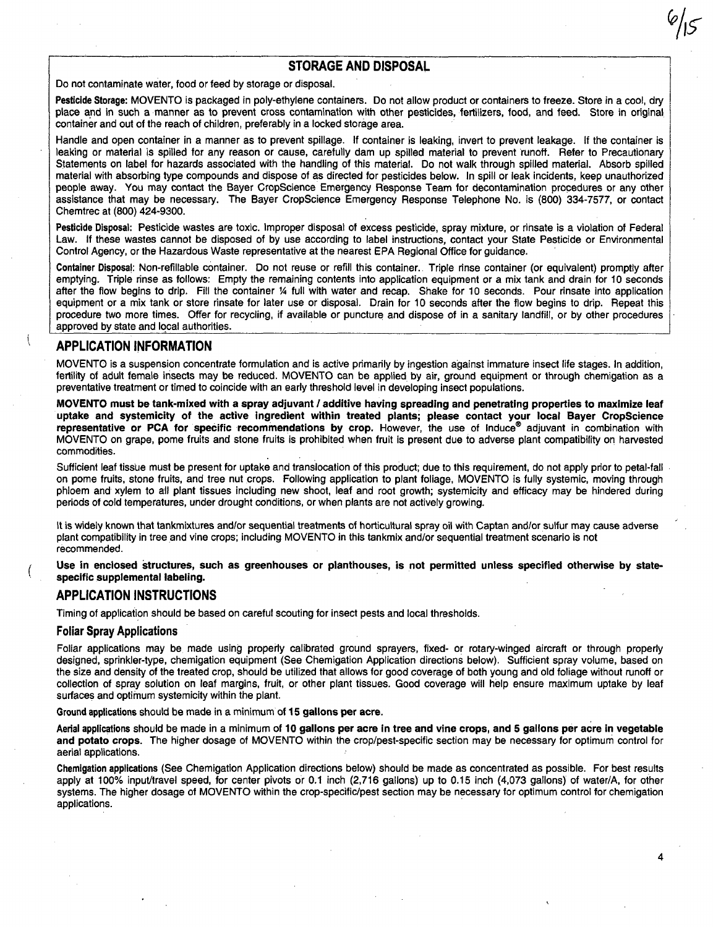#### STORAGE AND DISPOSAL

Do not contaminate water, food or feed by storage or disposal.

Pesticide Storage: MOVENTO is packaged in poly-ethylene containers. Do not allow product or containers to freeze. Store in a cool, dry place and in such a manner as to prevent cross contamination with other pesticides, fertilizers, food, and feed. Store in original container and out of the reach of children, preferably in a locked storage area.

Handle and open container in a manner as to prevent spillage. If container is leaking, invert to prevent leakage. If the container is leaking or material is spilled for any reason or cause, carefully dam up spilled material to prevent 'runoff. Refer to Precautionary Statements on label for hazards associated with the handling of this material. Do not walk through spilled material. Absorb spilled material with absorbing type compounds and dispose of as directed for pesticides below. In spill or leak incidents, keep unauthorized people away. You may contact the Bayer CropScience Emergency Response Team for decontamination procedures or any other assistance that may be necessary. The Bayer CropScience Emergency Response Telephone No. is (800) 334-7577, or contact Chemtrec at (800) 424-9300.

Pesticide Disposal: Pesticide wastes are toxic. Improper disposal of excess pesticide, spray mixture, or rinsate is a violation of Federal Law. If these wastes cannot be disposed of by use according to label instructions, contact your State Pesticide or Environmental Control Agency, or the Hazardous Waste representative at the nearest EPA Regional Office for guidance.

Container Disposal: Non-refillable container. Do not reuse or refill this container. Triple rinse container (or equivalent) promptly after emptying. Triple rinse as follows: Empty the remaining contents into application equipment or a mix tank and drain for 10 seconds after the flow begins to drip. Fill the container 14 full with water and recap. Shake for 10 seconds. Pour rinsate into application equipment or a mix tank or store rinsate for later use or disposal. Drain for 10 seconds after the flow begins to drip. Repeat this procedure two more times. Offer for recycling, if available or puncture and dispose of in a sanitary landfill, or by other procedures approved by state and local authorities.

#### APPLICATION INFORMATION

MOVENTO is a suspension concentrate formulation and is active primarily by ingestion against immature insect life stages. In addition, fertility of adult female insects may be reduced. MOVENTO can be applied by air, ground equipment or through chemigation as a preventative treatment or timed to coincide with an early threshold level in developing insect populations.

MOVENTO must be tank-mixed with a spray adjuvant / additive having spreading and penetrating properties to maximize leaf uptake and systemicity of the active ingredient within treated plants; please contact your local Bayer CropScience representative or PCA for specific recommendations by crop. However, the use of induce® adjuvant in combination with MOVENTO on grape, pome fruits and stone fruits is prohibited when fruit is present due to adverse plant compatibility on harvested commodities.

Sufficient leaf tissue must be present for uptake and translocation of this product; due to this requirement, do not apply prior to petal-fall on pome fruits, stone fruits, and tree nut crops. Following application to plant foliage, MOVENTO is fully systemic, moving through phloem and xylem to all plant tissues including new shoot, leaf and root growth; systemicity and efficacy may be hindered during periods of cold temperatures, under drought conditions, or when plants are not actively growing.

It is widely known that tankmixtures and/or sequential treatments of horticultural spray oil with Captan and/or sulfur may cause adverse plant compatibility in tree and vine crops; including MOVENTO in this tankmix and/or sequential treatment scenario is not recommended.

Use in enclosed structures, such as greenhouses or planthouses, is not permitted unless specified otherwise by statespecific supplemental labeling.

#### APPLICATION INSTRUCTIONS

Timing of application should be based on careful scouting for insect pests and local thresholds.

#### Foliar Spray Applications

Foliar applications may be made using property calibrated ground sprayers, fixed- or rotary-winged aircraft or through properly designed, sprinkler-type, chemigation equipment (See Chemigation Application directions below). Sufficient spray volume, based on the size and density of the treated crop, should be utilized that allows for good coverage of both young and old foliage without runoff or collection of spray solution on leaf margins, fruit, or other plant tissues. Good coverage will help ensure maximum uptake by leaf surfaces and optimum systemicity within the plant.

#### Ground applications should be made in a minimum of 15 gallons per acre.

Aerial applications should be made in a minimum of 10 gallons per acre in tree and vine crops, and 5 gallons per acre in vegetable and potato crops. The higher dosage of MOVENTO within the crop/pest-specific section may be necessary for optimum control for aerial applications.

Chemigation applications (See Chemigation Application directions below) should be made as concentrated as possible. For best results apply at 100% input/travel speed, for center pivots or 0.1 inch (2,716 gallons) up to 0.15 inch (4,073 gallons) of water/A, for other systems. The higher dosage of MOVENTO within the crop-specific/pest section may be necessary for optimum control for chemigation applications.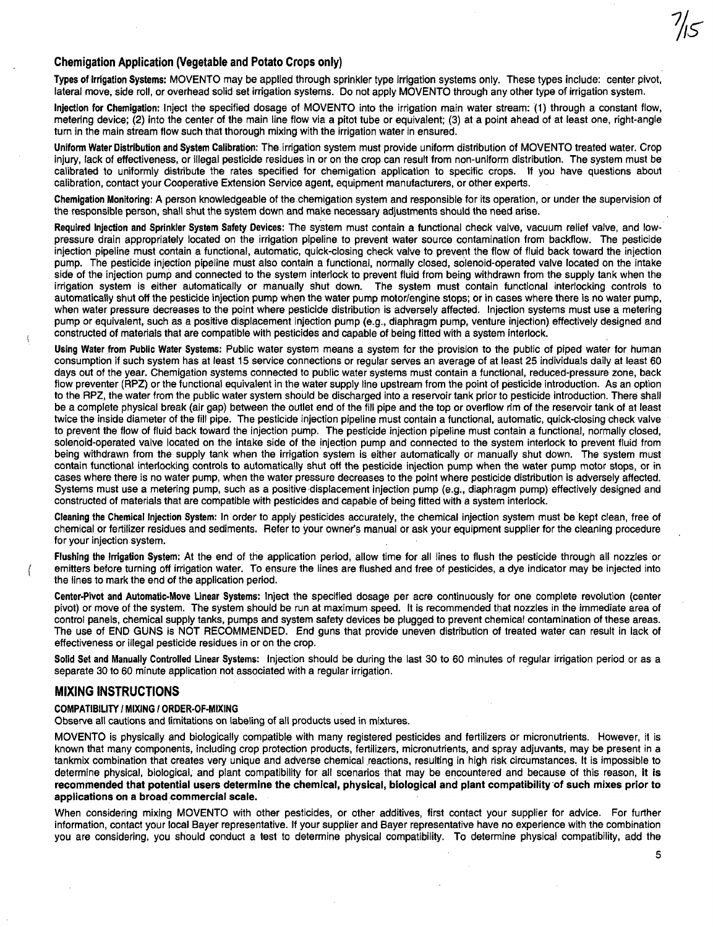#### Chemigation Application (Vegetable and Potato Crops only)

Types of Irrigation Systems: MOVENTO may be applied through sprinkler type irrigation systems only. These types include: center pivot, lateral move, side roll, or overhead solid set irrigation systems. Do not apply MOVENTO through any other type of irrigation system.

Injection for Chemigation: Inject the specified dosage of MOVENTO into the irrigation main water stream: (1) through a constant flow, metering device; (2) into the center of the main line flow via a pitot tube or equivalent; (3) at a point ahead of at least one, right-angle turn in the main stream flow such that thorough mixing with the irrigation water in ensured.

Uniform Water Distribution and System Calibration: The irrigation system must provide uniform distribution of MOVENTO treated water. Crop injury, lack of effectiveness, or illegal pesticide residues in or on the crop can result from non-uniform distribution. The system must be calibrated to uniformly distribute the rates specified for chemigation application to specific crops. If you have questions about calibration, contact your Cooperative Extension Service agent, equipment manufacturers, or other experts.

Chemigation Monitoring: A person knowledgeable of the chemigation system and responsible for its operation, or under the supervision of the responsible person, shall shut the system down and make necessary adjustments should the need arise.

Required Injection and Sprinkler System Safety Devices: The system must contain a functional check valve, vacuum relief valve, and lowpressure drain appropriately located on the irrigation pipeline to prevent water source contamination from backflow. The pesticide injection pipeline must contain a functional, automatic, quick-closing check valve to prevent the flow of fluid back toward the injection pump. The pesticide injection pipeline must also contain a functional, normally closed, solenoid-operated valve located on the intake side of the injection pump and connected to the system interlock to prevent fluid from being withdrawn from the supply tank when the irrigation system is either automatically or manually shut down. The system must contain functional interlocking controls to automatically shut off the pesticide injection pump when the water pump motor/engine stops; or in cases where there is no water pump, when water pressure decreases to the point where pesticide distribution is adversely affected. Injection systems must use a metering pump or equivalent, such as a positive displacement injection pump (e.g., diaphragm pump, venture injection) effectively designed and constructed of materials that are compatible with pesticides and capable of being fitted with a system interlock. .

USing Water from Public Water Systems: Public water system means a system for the provision to the public of piped water for human consumption if such system has at least 15 service connections or regular serves an average of at least 25 individuals daily at least 60 days out of the year. Chemigation systems connected to public water systems must contain a functional, reduced-pressure zone, back flow preventer (RPZ) or the functional equivalent in the water supply line upstream from the point of pesticide introduction. As an option to the RPZ, the water from the public water system should be discharged into a reservoir tank prior to pesticide introduction. There shall be a complete physical break (air gap) between the outlet end of the fill pipe and the top or overflow rim of the reservoir tank of at least twice the inside diameter of the fill pipe. The pesticide injection pipeline must contain a functional, automatic, quick-closing check valve to prevent the flow of fluid back toward the injection pump. The pesticide injection pipeline must contain a functional, normally closed, solenoid-operated valve located on the intake side of the injection pump and connected to the system interlock to prevent fluid from being withdrawn from the supply tank when the irrigation system is either automatically or manually shut down. The system must contain functional interlocking controls to automatically shut off the pesticide injection pump when the water pump motor stops, or in cases where there is no water pump, when the water pressure decreases to the point where pesticide distribution is adversely affected. Systems must use a metering pump, such as a positive displacement injection pump (e.g., diaphragm pump) effectively designed and constructed of materials that are compatible with pesticides and capable of being fitted with a system interlock.

Cleaning the Chemical Injection System: In order to apply pesticides accurately, the chemical injection system must be kept clean, free of chemical or fertilizer residues and sediments. Refer to your owner's manual or ask your equipment supplier for the cleaning procedure for your injection system.

flushing the Irrigation System: At the end of the application period, allow time for all lines to flush the pesticide through all nozzles or emitters before turning off irrigation water. To ensure the lines are flushed and free of pesticides, a dye indicator may be injected into the lines to mark the end of the application period.

Center·Pivot and Automatic·Move Linear Systems: Inject the specified dosage per acre continuously for one complete revolution (center pivot) or move of the system. The system should be run at maximum speed. It is recommended. that nozzles in the immediate area of control panels, chemical supply tanks, pumps and system safety devices be plugged to prevent chemical contamination of these areas. The use of END GUNS is NOT RECOMMENDED. End guns that provide uneven distribution of treated water can result in lack of effectiveness or illegal pesticide residues in or on the crop.

Solid Set and Manually Controlled Linear Systems: Injection should be during the last 30 to 60 minutes of regular irrigation period or as a separate 30 to 60 minute application not associated with a regular irrigation.

#### MIXING INSTRUCTIONS

#### COMPATIBILITY I MIXING I ORDER·Of·MIXING

Observe all cautions and limitations on labeling of all products used in mixtures.

MOVENTO is physically and biologically compatible with many registered pesticides and fertilizers or micronutrients. However, it is known that many components, including crop protection products, fertilizers, micronutrients, and spray adjuvants, may be present in a tankmix combination that creates very unique and adverse chemical reactions, resulting in high risk Circumstances, It is impossible to determine physical, biological, and plant compatibility for all scenarios that may be encountered and because of this reason, it is recommended that potential users determine the chemical, physical, biological and plant compatibility of such mixes prior to applications on a broad commercial scale.

When considering mixing MOVENTO with other pesticides, or other additives, first contact your supplier for advice. For further information, contact your local Bayer representative. If your supplier and Bayer representative have no experience with the combination you are considering, you should conduct a test to determine physical compatibility. To determine physical compatibility, add the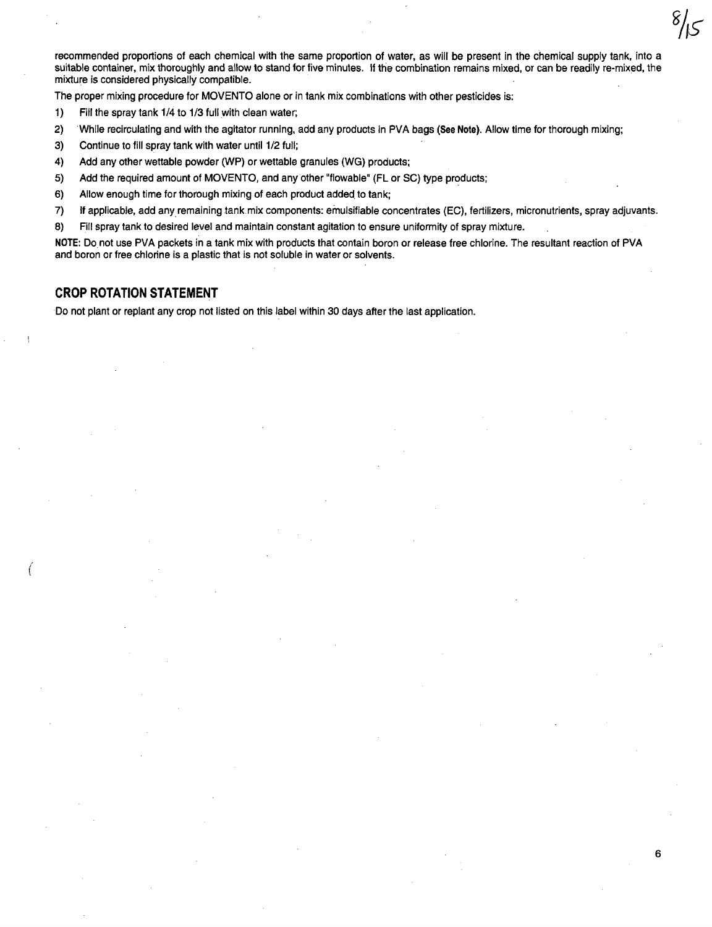recommended proportions of each chemical with the same proportion of water, as will be present in the chemical supply tank, into a suitable container, mix thoroughly and allow to stand for five minutes. If the combination remains mixed, or can be readily re-mixed, the mixture is considered physically compatible.

The proper mixing procedure for MOVENTO alone or in tank mix combinations with other pesticides is:

- 1) Fill the spray tank 1/4 to 1/3 full with clean water;
- 2) While recirculating and with the agitator running, add any products in PVA bags (See Note). Allow time for thorough mixing;
- 3) Continue to fill spray tank with water until 1/2 full;
- 4) Add any other wettable powder (WP) or wettable granules (WG) products;
- 5) Add the required amount of MOVENTO, and anyother "flowable" (FL or SC) type products;
- 6) Allow enough time for thorough mixing of each product added to tank;
- 7) If applicable, add any remaining tank mix components: emulsifiable concentrates (EC), fertilizers, micronutrients, spray adjuvants.
- 8) Fill spray tank to desired level and maintain constant agitation to ensure uniformity of spray mixture.

NOTE: Donot use PVA packets in a tank mix with products that contain boron or release free chlorine. The resultant reaction of PVA and boron or free chlorine is a plastic that is not soluble in water or solvents.

6

#### **CROP ROTATION STATEMENT**

(

Do not plant or replant any crop not listed on this label within 30 days after the last application.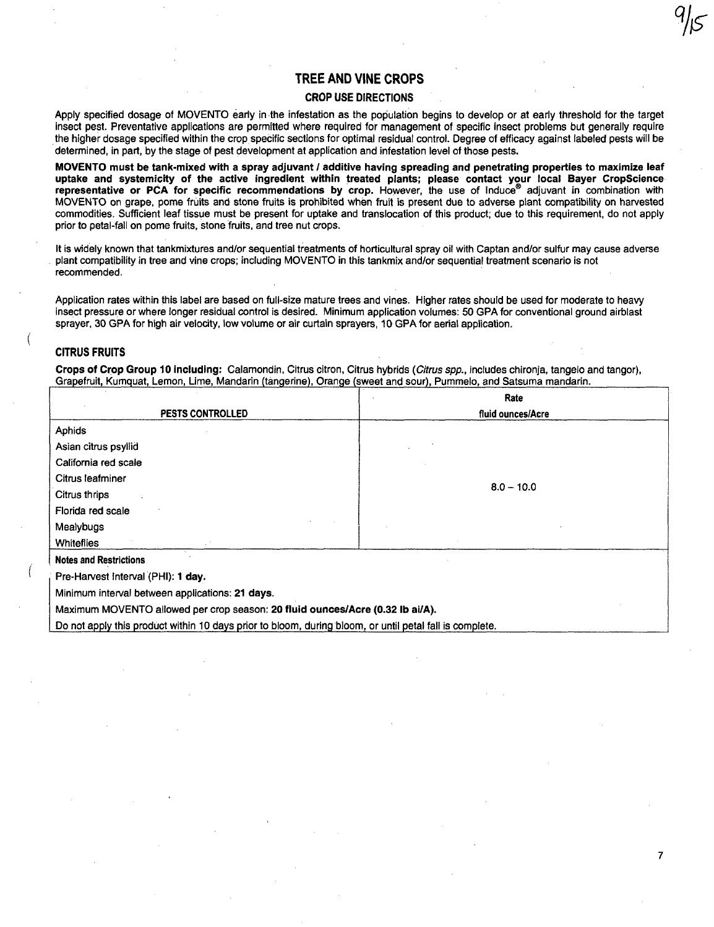#### TREE AND VINE CROPS

#### CROP USE DIRECTIONS

Apply specified dosage of MOVENTO early in the infestation as the population begins to develop or at early threshold for the target insect pest. Preventative applications are permitted where required for management of specific insect problems but generally require . the higher dosage specified within the crop specific sections for optimal residual control. Degree of efficacy against labeled pests will be determined, in part, by the stage of pest development at application and infestation level of those pests.

MOVENTO must be tank-mixed with a spray adjuvant / additive having spreading and penetrating properties to maximize leaf uptake and systemicity of the active ingredient within treated plants; please contact your local Bayer CropScience representative or PCA for specific recommendations by crop. However, the use of Induce® adjuvant in combination with MOVENTO on grape, pome fruits and stone fruits is prohibited when fruit is present due to adverse plant compatibility on harvested commodities. Sufficient leaf tissue must be present for uptake and translocation of this product; due to this requirement, do not apply prior to petal-fall on pome fruits, stone fruits, and tree nut crops.

It is widely known that tankmixtures and/or sequential treatments of horticultural spray oil with Captan and/or sulfur may cause adverse plant compatibility in tree and vine crops; including MOVENTO in this tankmix and/or sequential treatment scenario is not recommended.

Application rates within this label are based on full-size mature trees and vines. Higher rates should be used for moderate to heavy insect pressure or where longer residual control is desired. Minimum application volumes: 50 GPA for conventional ground airblast sprayer, 30 GPA for high air velocity, low volume or air curtain sprayers, 10 GPA for aerial application.

#### CITRUS FRUITS

(

Crops of Crop Group 10 including: Calamondin, Citrus citron, Citrus hybrids (Citrus spp., includes chironja, tangelo and tangor), Grapefruit, Kumquat, Lemon, Lime, Mandarin (tangerine), Orange (sweet and sour), Pummelo, and Satsuma mandarin.

|                                                                                                         | Rate              |
|---------------------------------------------------------------------------------------------------------|-------------------|
| PESTS CONTROLLED                                                                                        | fluid ounces/Acre |
| Aphids                                                                                                  |                   |
| Asian citrus psyllid                                                                                    |                   |
| California red scale                                                                                    |                   |
| Citrus leafminer                                                                                        |                   |
| Citrus thrips                                                                                           | $8.0 - 10.0$      |
| Florida red scale                                                                                       |                   |
| Mealybugs                                                                                               |                   |
| <b>Whiteflies</b>                                                                                       |                   |
| <b>Notes and Restrictions</b>                                                                           |                   |
| Pre-Harvest Interval (PHI): 1 day.                                                                      |                   |
| Minimum interval between applications: 21 days.                                                         |                   |
| Maximum MOVENTO allowed per crop season: 20 fluid ounces/Acre (0.32 lb ai/A).                           |                   |
| Do not apply this product within 10 days prior to bloom, during bloom, or until petal fall is complete. |                   |

7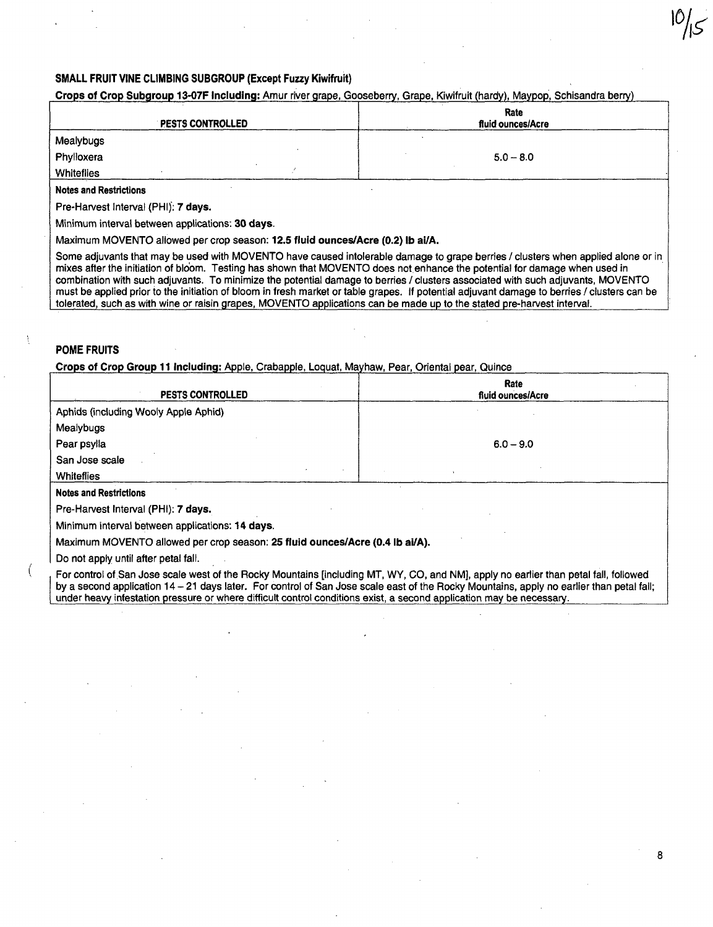#### SMALL FRUIT VINE CLIMBING SUBGROUP (Except Fuzzy Kiwifruit)

#### Crops of Crop Subgroup 13-07F Including: Amur river grape, Gooseberry, Grape, Kiwifruit (hardy), Maypop, Schisandra berry)

| <b>PESTS CONTROLLED</b>       | Rate<br>fluid ounces/Acre |  |
|-------------------------------|---------------------------|--|
| Mealybugs                     |                           |  |
| Phylloxera                    | $5.0 - 8.0$               |  |
| <b>Whiteflies</b>             |                           |  |
| <b>Notes and Restrictions</b> |                           |  |

Pre-Harvest Interval (PHI); 7 days.

Minimum interval between applications; 30 days.

Maximum MOVENTO allowed per crop season; 12.5 fluid ounces/Acre (0.2) Ib ai/A.

Some adjuvants that may be used with MOVENTO have caused intolerable damage to grape berries / clusters when applied alone or in mixes after the initiation of blo'om. Testing has shown that MOVENTO does notenhance the potential for damage when used in combination with such adjuvants. To minimize the potential damage to berries / clusters associated with such adjuvants, MOVENTO must be applied prior to the initiation of bloom in fresh market or table grapes. If potential adjuvant damage to berries / clusters can be tolerated, such as with wine or raisin grapes, MOVENTO applications can be made up to the stated pre-harvest interval.

#### POME FRUITS

Crops of Crop Group 11 Including: Apple, Crabapple, Loquat, Mayhaw, Pear, Oriental pear, Quince

| <b>PESTS CONTROLLED</b>                                                                                              | <b>Rate</b><br>fluid ounces/Acre                                                                                                                                                                                                                                                 |
|----------------------------------------------------------------------------------------------------------------------|----------------------------------------------------------------------------------------------------------------------------------------------------------------------------------------------------------------------------------------------------------------------------------|
| Aphids (including Wooly Apple Aphid)                                                                                 |                                                                                                                                                                                                                                                                                  |
| Mealybugs                                                                                                            |                                                                                                                                                                                                                                                                                  |
| Pear psylla                                                                                                          | $6.0 - 9.0$                                                                                                                                                                                                                                                                      |
| San Jose scale                                                                                                       |                                                                                                                                                                                                                                                                                  |
| Whiteflies                                                                                                           |                                                                                                                                                                                                                                                                                  |
| <b>Notes and Restrictions</b>                                                                                        |                                                                                                                                                                                                                                                                                  |
| Pre-Harvest Interval (PHI): 7 days.                                                                                  |                                                                                                                                                                                                                                                                                  |
| Minimum interval between applications: 14 days.                                                                      |                                                                                                                                                                                                                                                                                  |
| Maximum MOVENTO allowed per crop season: 25 fluid ounces/Acre (0.4 lb ai/A).                                         |                                                                                                                                                                                                                                                                                  |
| Do not apply until after petal fall.                                                                                 |                                                                                                                                                                                                                                                                                  |
| under heavy infestation pressure or where difficult control conditions exist, a second application may be necessary. | For control of San Jose scale west of the Rocky Mountains [including MT, WY, CO, and NM], apply no earlier than petal fall, followed<br>by a second application 14 - 21 days later. For control of San Jose scale east of the Rocky Mountains, apply no earlier than petal fall; |

8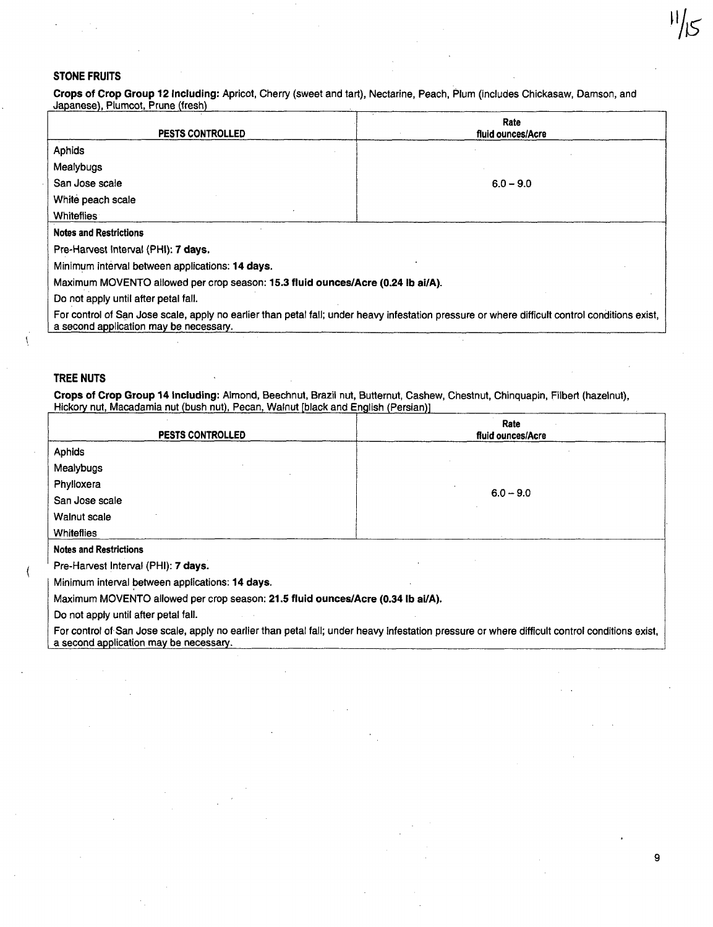#### STONE FRUITS

Crops of Crop Group 12 Including: Apricot, Cherry (sweet and tart), Nectarine, Peach, Plum (includes Chickasaw, Damson, and Japanese), Plumcot, Prune (fresh)

| <b>PESTS CONTROLLED</b>                                                                                                                                                                  | Rate<br>fluid ounces/Acre |
|------------------------------------------------------------------------------------------------------------------------------------------------------------------------------------------|---------------------------|
| Aphids                                                                                                                                                                                   |                           |
| Mealybugs                                                                                                                                                                                |                           |
| San Jose scale                                                                                                                                                                           | $6.0 - 9.0$               |
| White peach scale                                                                                                                                                                        |                           |
| <b>Whiteflies</b>                                                                                                                                                                        |                           |
| <b>Notes and Restrictions</b>                                                                                                                                                            |                           |
| Pre-Harvest Interval (PHI): 7 days.                                                                                                                                                      |                           |
| Minimum interval between applications: 14 days.                                                                                                                                          |                           |
| Maximum MOVENTO allowed per crop season: 15.3 fluid ounces/Acre (0.24 lb ai/A).                                                                                                          |                           |
| Do not apply until after petal fall.                                                                                                                                                     |                           |
| For control of San Jose scale, apply no earlier than petal fall; under heavy infestation pressure or where difficult control conditions exist,<br>a second application may be necessary. |                           |

#### TREE NUTS

Crops of Crop Group 14 Including: Almond, Beechnut, Brazil nut, Butternut, Cashew, Chestnut, Chinquapin, Filbert (hazelnut), Hickory nut, Macadamia nut (bush nut), Pecan, Walnut [black and EnQlish (Persian)]

|                                                                                 | Rate                                                                                                                                           |
|---------------------------------------------------------------------------------|------------------------------------------------------------------------------------------------------------------------------------------------|
| <b>PESTS CONTROLLED</b>                                                         | fluid ounces/Acre                                                                                                                              |
| <b>Aphids</b>                                                                   |                                                                                                                                                |
| Mealybugs                                                                       |                                                                                                                                                |
| Phylloxera                                                                      |                                                                                                                                                |
| San Jose scale                                                                  | $6.0 - 9.0$                                                                                                                                    |
| Walnut scale                                                                    |                                                                                                                                                |
| <b>Whiteflies</b>                                                               |                                                                                                                                                |
| <b>Notes and Restrictions</b>                                                   |                                                                                                                                                |
| Pre-Harvest Interval (PHI): 7 days.                                             |                                                                                                                                                |
| Minimum interval between applications: 14 days.                                 |                                                                                                                                                |
| Maximum MOVENTO allowed per crop season: 21.5 fluid ounces/Acre (0.34 lb ai/A). |                                                                                                                                                |
| Do not apply until after petal fall.                                            |                                                                                                                                                |
| a second application may be necessary.                                          | For control of San Jose scale, apply no earlier than petal fall; under heavy infestation pressure or where difficult control conditions exist, |

9

.<br>IS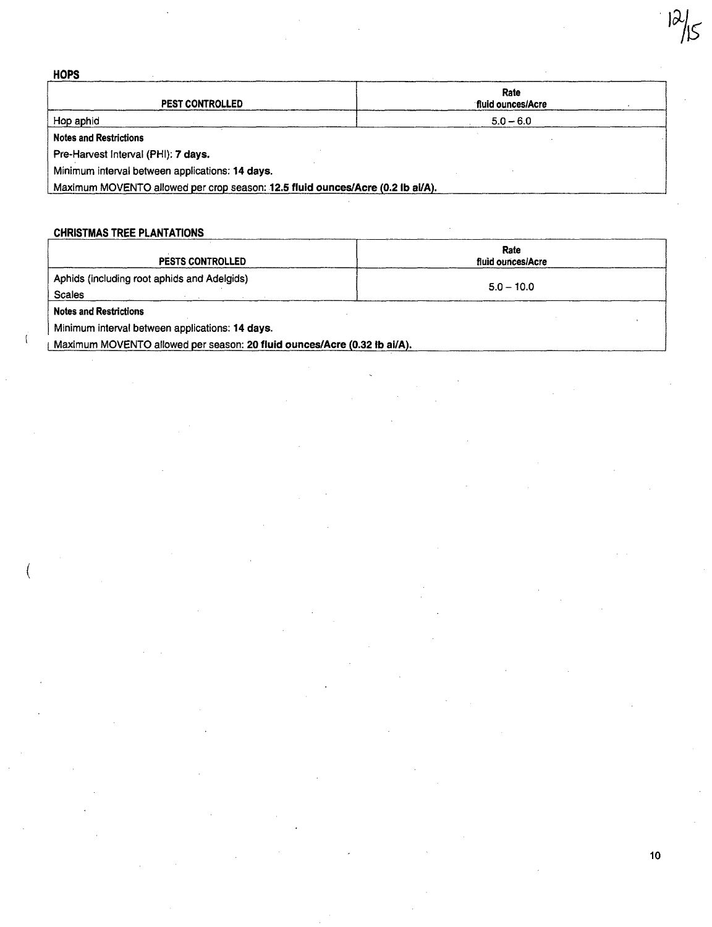| <b>HOPS</b>                                                                    |                           |
|--------------------------------------------------------------------------------|---------------------------|
| <b>PEST CONTROLLED</b>                                                         | Rate<br>fluid ounces/Acre |
| Hop aphid                                                                      | $5.0 - 6.0$               |
| <b>Notes and Restrictions</b>                                                  |                           |
| Pre-Harvest Interval (PHI): 7 days.                                            |                           |
| Minimum interval between applications: 14 days.                                |                           |
| Maximum MOVENTO allowed per crop season: 12.5 fluid ounces/Acre (0.2 lb ai/A). |                           |

### CHRISTMAS TREE PLANTATIONS

(

| PESTS CONTROLLED                                                         | Rate<br>fluid ounces/Acre |
|--------------------------------------------------------------------------|---------------------------|
| Aphids (including root aphids and Adelgids)<br><b>Scales</b>             | $5.0 - 10.0$              |
| <b>Notes and Restrictions</b>                                            |                           |
| Minimum interval between applications: 14 days.                          |                           |
| Maximum MOVENTO allowed per season: 20 fluid ounces/Acre (0.32 lb ai/A). |                           |

10

 $\overline{\mathcal{P}}$  $\sqrt{5}$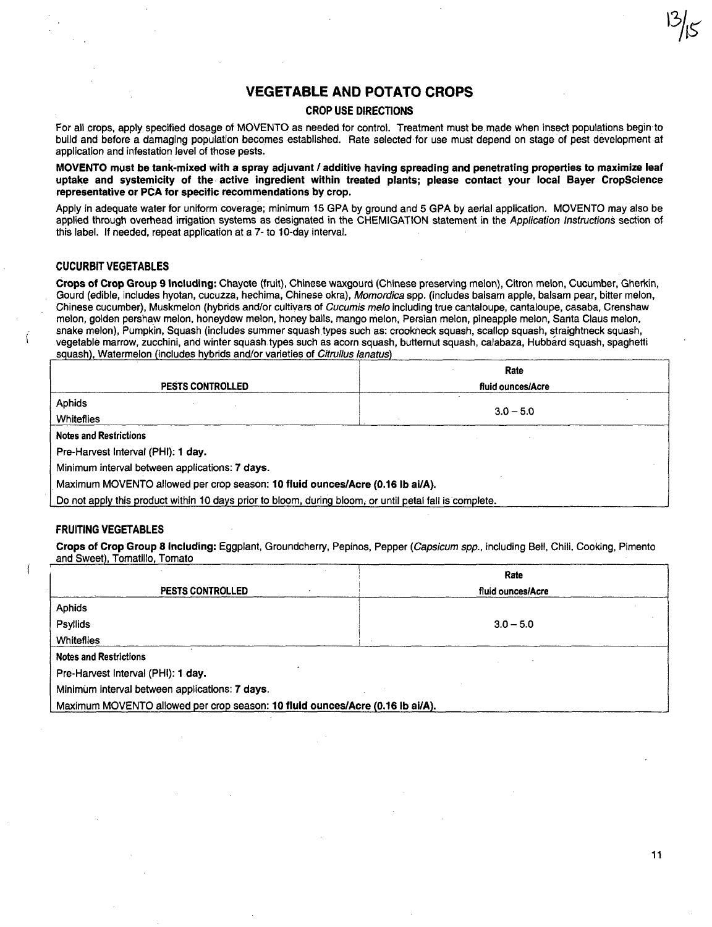#### **VEGETABLE AND POTATO CROPS**

#### CROP USE DIRECTIONS

For all crops, apply specified dosage of MOVENTO as needed for control. Treatment must be made when insect populations begin to build and before a damaging population becomes established. Rate selected for use must depend on stage of pest development at application and infestation Jevel of those pests.

MOVENTO must be tank-mixed with a spray adjuvant / additive having spreading and penetrating properties to maximize leaf uptake and systemicity of the active ingredient within treated plants; please contact your local Bayer CropScience representative or PCA for specific recommendations by crop.

Apply in adequate water for uniform coverage; minimum 15 GPA by ground and 5 GPA by aerial application. MOVENTO may also be applied through overhead irrigation systems as designated in the CHEMIGATION statement in the Application Instructions section of this label. If needed, repeat application at a 7- to 10-day interval.

#### CUCURBIT VEGETABLES

Crops of Crop Group 9 Including: Chayote (fruit), Chinese waxgourd (Chinese preserving melon), Citron melon, Cucumber, Gherkin, Gourd (edible, includes hyotan, cucuzza, hechima, Chinese okra), Momordica spp. (includes balsam apple, balsam pear, bitter melon, Chinese cucumber), Muskmelon (hybrids and/or cultivars of Cucumis melo including true cantaloupe, cantaloupe, casaba, Crenshaw melon, golden pershaw melon, honeydew melon, honey bails, mango melon, Persian melon, pineapple melon, Santa Claus melon, snake melon), Pumpkin, Squash (includes summer squash types such as: crookneck squash, scallop squash, straightneck squash, vegetable marrow, zucchini, and winter squash. types such as acorn squash, butternut squash, calabaza, Hubbard squash, spaghetti squash), Watermelon (includes hybrids and/or varieties of Citrullus lanatus)

|                                                                                                         | Rate              |  |
|---------------------------------------------------------------------------------------------------------|-------------------|--|
| <b>PESTS CONTROLLED</b>                                                                                 | fluid ounces/Acre |  |
| <b>Aphids</b>                                                                                           |                   |  |
| Whiteflies                                                                                              | $3.0 - 5.0$       |  |
| <b>Notes and Restrictions</b>                                                                           |                   |  |
| Pre-Harvest Interval (PHI): 1 day.                                                                      |                   |  |
| Minimum interval between applications: 7 days.                                                          |                   |  |
| Maximum MOVENTO allowed per crop season: 10 fluid ounces/Acre (0.16 lb ai/A).                           |                   |  |
| Do not apply this product within 10 days prior to bloom, during bloom, or until petal fall is complete. |                   |  |

#### FRUITING VEGETABLES

Crops of Crop Group 8 Including: Eggplant, Groundcherry, Pepinos, Pepper (Capsicum spp., including Bell, Chili, Cooking, Pimento and Sweet), Tomatillo, Tomato

|                                                                               | Rate              |
|-------------------------------------------------------------------------------|-------------------|
| PESTS CONTROLLED                                                              | fluid ounces/Acre |
| Aphids                                                                        |                   |
| Psyllids                                                                      | $3.0 - 5.0$       |
| Whiteflies                                                                    |                   |
| <b>Notes and Restrictions</b>                                                 |                   |
| Pre-Harvest Interval (PHI): 1 day.                                            |                   |
| Minimum interval between applications: 7 days.                                |                   |
| Maximum MOVENTO allowed per crop season: 10 fluid ounces/Acre (0.16 lb ai/A). |                   |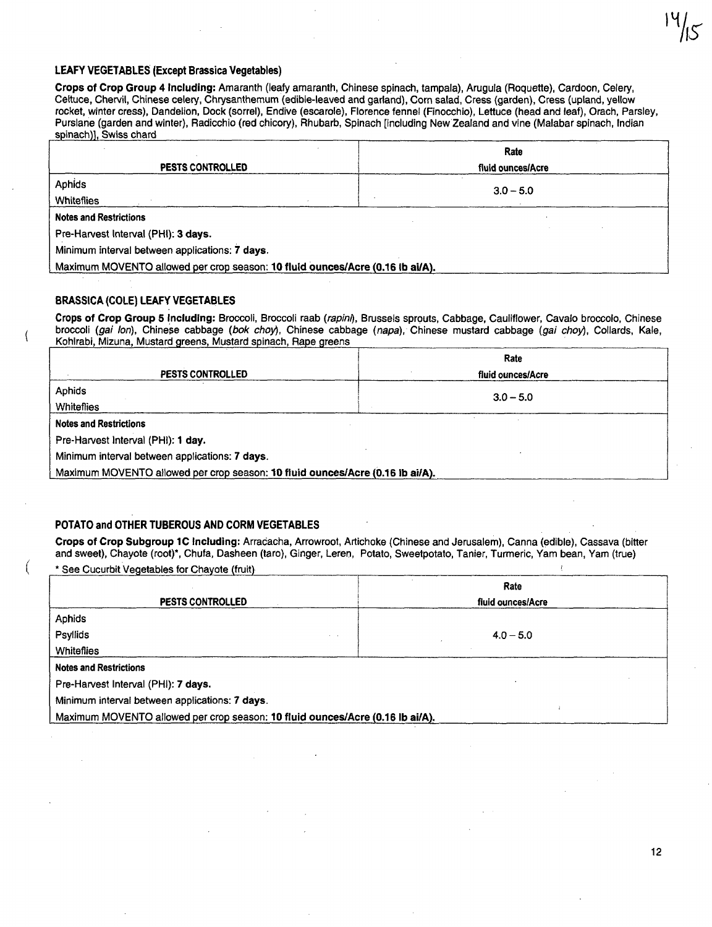#### LEAFY VEGETABLES (Except Brassica Vegetables)

Crops of Crop Group 4 Including: Amaranth (leafy amaranth, Chinese spinach, tampala), Arugula (Roquette), Cardoon, Celery, Celtuce, Chervil, Chinese celery, Chrysanthemum (edible-leaved and garland), Corn salad, Cress (garden), Cress (upland, yellow rocket, winter cress), Dandelion, Dock (sorrel), Endive (escarole), Florence fennel (Finocchio), Lettuce (head and leaf), Orach, Parsley, Purslane (garden and winter), Radicchio (red chicory), Rhubarb, Spinach [including NewZealand and vine (Malabar spinach, Indian spinach)], Swiss chard

|                                                                               | Rate              |  |
|-------------------------------------------------------------------------------|-------------------|--|
| <b>PESTS CONTROLLED</b>                                                       | fluid ounces/Acre |  |
| Aphids                                                                        | $3.0 - 5.0$       |  |
| Whiteflies                                                                    |                   |  |
| <b>Notes and Restrictions</b>                                                 |                   |  |
| Pre-Harvest Interval (PHI): 3 days.                                           |                   |  |
| Minimum interval between applications: 7 days.                                |                   |  |
| Maximum MOVENTO allowed per crop season: 10 fluid ounces/Acre (0.16 lb ai/A). |                   |  |

#### BRASSICA (COLE) LEAFY VEGETABLES

 $\overline{\mathcal{L}}$ 

Crops of Crop Group 5 Including: Broccoli, Broccoli raab (rapim), Brussels sprouts, Cabbage, Cauliflower, Cavalo broccolo, Chinese broccoli (gai Ion), Chinese cabbage (bok choy), Chinese cabbage (napa), Chinese mustard cabbage (gai choy), Collards, Kale, Kohlrabi, Mizuna, Mustard greens, Mustard spinach, Rape greens

|                                                                               | Rate              |  |
|-------------------------------------------------------------------------------|-------------------|--|
| <b>PESTS CONTROLLED</b>                                                       | fluid ounces/Acre |  |
| Aphids                                                                        | $3.0 - 5.0$       |  |
| Whiteflies                                                                    |                   |  |
| <b>Notes and Restrictions</b>                                                 |                   |  |
| Pre-Harvest Interval (PHI): 1 day.                                            |                   |  |
| Minimum interval between applications: 7 days.                                |                   |  |
| Maximum MOVENTO allowed per crop season: 10 fluid ounces/Acre (0.16 lb ai/A). |                   |  |

#### POTATO and OTHER TUBEROUS AND CORM VEGETABLES

Crops of Crop Subgroup lC Including: Arracacha, Arrowroot, Artichoke (Chinese and Jerusalem), Canna (edible), Cassava (bitter and sweet), Chayote (root)\*, Chufa, Dasheen (taro), Ginger, Leren, Potato, Sweetpotato, Tanier, Turmeric, Yam bean, Yam (true)

\* See Cucurbit Vegetables for Chayote (fruit)

| <b>PESTS CONTROLLED</b>                                                       | Rate<br>fluid ounces/Acre |  |
|-------------------------------------------------------------------------------|---------------------------|--|
|                                                                               |                           |  |
| Aphids                                                                        |                           |  |
| Psyllids                                                                      | $4.0 - 5.0$               |  |
| <b>Whiteflies</b>                                                             |                           |  |
| <b>Notes and Restrictions</b>                                                 |                           |  |
| Pre-Harvest Interval (PHI): 7 days.                                           |                           |  |
| Minimum interval between applications: 7 days.                                |                           |  |
| Maximum MOVENTO allowed per crop season: 10 fluid ounces/Acre (0.16 lb ai/A). |                           |  |